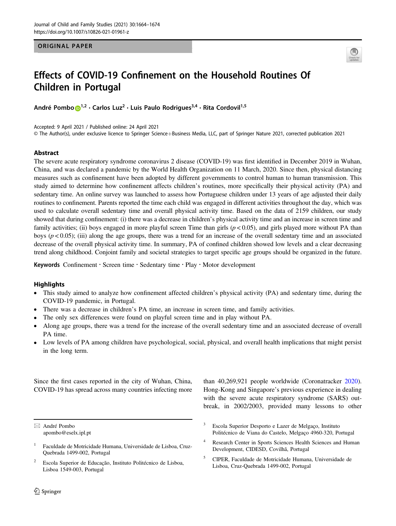#### ORIGINAL PAPER



# Effects of COVID-19 Confinement on the Household Routines Of Children in Portugal

André Pombo D<sup>[1](http://orcid.org/0000-0002-2364-834X),2</sup> · Carlos Luz<sup>2</sup> · Luis Paulo Rodrigues<sup>3,4</sup> · Rita Cordovil<sup>1,5</sup>

Accepted: 9 April 2021 / Published online: 24 April 2021

© The Author(s), under exclusive licence to Springer Science+Business Media, LLC, part of Springer Nature 2021, corrected publication 2021

## Abstract

The severe acute respiratory syndrome coronavirus 2 disease (COVID-19) was first identified in December 2019 in Wuhan, China, and was declared a pandemic by the World Health Organization on 11 March, 2020. Since then, physical distancing measures such as confinement have been adopted by different governments to control human to human transmission. This study aimed to determine how confinement affects children's routines, more specifically their physical activity (PA) and sedentary time. An online survey was launched to assess how Portuguese children under 13 years of age adjusted their daily routines to confinement. Parents reported the time each child was engaged in different activities throughout the day, which was used to calculate overall sedentary time and overall physical activity time. Based on the data of 2159 children, our study showed that during confinement: (i) there was a decrease in children's physical activity time and an increase in screen time and family activities; (ii) boys engaged in more playful screen Time than girls ( $p < 0.05$ ), and girls played more without PA than boys ( $p < 0.05$ ); (iii) along the age groups, there was a trend for an increase of the overall sedentary time and an associated decrease of the overall physical activity time. In summary, PA of confined children showed low levels and a clear decreasing trend along childhood. Conjoint family and societal strategies to target specific age groups should be organized in the future.

Keywords Confinement · Screen time · Sedentary time · Play · Motor development

## **Highlights**

- This study aimed to analyze how confinement affected children's physical activity (PA) and sedentary time, during the COVID-19 pandemic, in Portugal.
- There was a decrease in children's PA time, an increase in screen time, and family activities.
- The only sex differences were found on playful screen time and in play without PA.
- Along age groups, there was a trend for the increase of the overall sedentary time and an associated decrease of overall PA time.
- Low levels of PA among children have psychological, social, physical, and overall health implications that might persist in the long term.

Since the first cases reported in the city of Wuhan, China, COVID-19 has spread across many countries infecting more

 $\boxtimes$  André Pombo [apombo@eselx.ipl.pt](mailto:apombo@eselx.ipl.pt)

than 40,269,921 people worldwide (Coronatracker [2020\)](#page-8-0). Hong-Kong and Singapore's previous experience in dealing with the severe acute respiratory syndrome (SARS) outbreak, in 2002/2003, provided many lessons to other

<sup>5</sup> CIPER, Faculdade de Motricidade Humana, Universidade de Lisboa, Cruz-Quebrada 1499-002, Portugal

<sup>1</sup> Faculdade de Motricidade Humana, Universidade de Lisboa, Cruz-Quebrada 1499-002, Portugal

<sup>2</sup> Escola Superior de Educação, Instituto Politécnico de Lisboa, Lisboa 1549-003, Portugal

<sup>3</sup> Escola Superior Desporto e Lazer de Melgaço, Instituto Politécnico de Viana do Castelo, Melgaço 4960-320, Portugal

<sup>4</sup> Research Center in Sports Sciences Health Sciences and Human Development, CIDESD, Covilhã, Portugal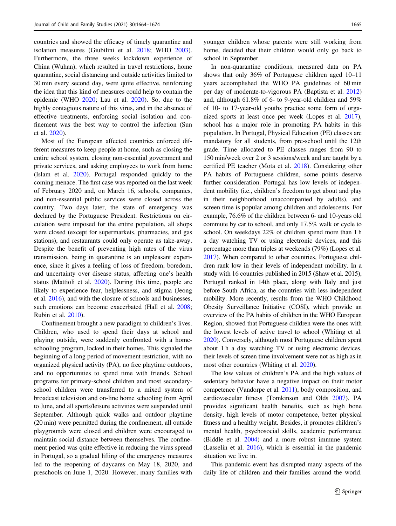countries and showed the efficacy of timely quarantine and isolation measures (Giubilini et al. [2018;](#page-8-0) WHO [2003](#page-10-0)). Furthermore, the three weeks lockdown experience of China (Wuhan), which resulted in travel restrictions, home quarantine, social distancing and outside activities limited to 30 min every second day, were quite effective, reinforcing the idea that this kind of measures could help to contain the epidemic (WHO [2020;](#page-10-0) Lau et al. [2020](#page-9-0)). So, due to the highly contagious nature of this virus, and in the absence of effective treatments, enforcing social isolation and confinement was the best way to control the infection (Sun et al. [2020](#page-9-0)).

Most of the European affected countries enforced different measures to keep people at home, such as closing the entire school system, closing non-essential government and private services, and asking employees to work from home (Islam et al. [2020](#page-8-0)). Portugal responded quickly to the coming menace. The first case was reported on the last week of February 2020 and, on March 16, schools, companies, and non-essential public services were closed across the country. Two days later, the state of emergency was declared by the Portuguese President. Restrictions on circulation were imposed for the entire population, all shops were closed (except for supermarkets, pharmacies, and gas stations), and restaurants could only operate as take-away. Despite the benefit of preventing high rates of the virus transmission, being in quarantine is an unpleasant experience, since it gives a feeling of loss of freedom, boredom, and uncertainty over disease status, affecting one's health status (Mattioli et al. [2020\)](#page-9-0). During this time, people are likely to experience fear, helplessness, and stigma (Jeong et al. [2016\)](#page-8-0), and with the closure of schools and businesses, such emotions can become exacerbated (Hall et al. [2008](#page-8-0); Rubin et al. [2010\)](#page-9-0).

Confinement brought a new paradigm to children's lives. Children, who used to spend their days at school and playing outside, were suddenly confronted with a homeschooling program, locked in their homes. This signaled the beginning of a long period of movement restriction, with no organized physical activity (PA), no free playtime outdoors, and no opportunities to spend time with friends. School programs for primary-school children and most secondaryschool children were transferred to a mixed system of broadcast television and on-line home schooling from April to June, and all sports/leisure activities were suspended until September. Although quick walks and outdoor playtime (20 min) were permitted during the confinement, all outside playgrounds were closed and children were encouraged to maintain social distance between themselves. The confinement period was quite effective in reducing the virus spread in Portugal, so a gradual lifting of the emergency measures led to the reopening of daycares on May 18, 2020, and preschools on June 1, 2020. However, many families with

younger children whose parents were still working from home, decided that their children would only go back to school in September.

In non-quarantine conditions, measured data on PA shows that only 36% of Portuguese children aged 10–11 years accomplished the WHO PA guidelines of 60 min per day of moderate-to-vigorous PA (Baptista et al. [2012](#page-8-0)) and, although 61.8% of 6- to 9-year-old children and 59% of 10- to 17-year-old youths practice some form of organized sports at least once per week (Lopes et al. [2017\)](#page-9-0), school has a major role in promoting PA habits in this population. In Portugal, Physical Education (PE) classes are mandatory for all students, from pre-school until the 12th grade. Time allocated to PE classes ranges from 90 to 150 min/week over 2 or 3 sessions/week and are taught by a certified PE teacher (Mota et al. [2018](#page-9-0)). Considering other PA habits of Portuguese children, some points deserve further consideration. Portugal has low levels of independent mobility (i.e., children's freedom to get about and play in their neighborhood unaccompanied by adults), and screen time is popular among children and adolescents. For example, 76.6% of the children between 6- and 10-years old commute by car to school, and only 17.5% walk or cycle to school. On weekdays 22% of children spend more than 1 h a day watching TV or using electronic devices, and this percentage more than triples at weekends (79%) (Lopes et al. [2017\)](#page-9-0). When compared to other countries, Portuguese children rank low in their levels of independent mobility. In a study with 16 countries published in 2015 (Shaw et al. 2015), Portugal ranked in 14th place, along with Italy and just before South Africa, as the countries with less independent mobility. More recently, results from the WHO Childhood Obesity Surveillance Initiative (COSI), which provide an overview of the PA habits of children in the WHO European Region, showed that Portuguese children were the ones with the lowest levels of active travel to school (Whiting et al. [2020\)](#page-10-0). Conversely, although most Portuguese children spent about 1 h a day watching TV or using electronic devices, their levels of screen time involvement were not as high as in most other countries (Whiting et al. [2020\)](#page-10-0).

The low values of children's PA and the high values of sedentary behavior have a negative impact on their motor competence (Vandorpe et al. [2011\)](#page-10-0), body composition, and cardiovascular fitness (Tomkinson and Olds [2007\)](#page-10-0). PA provides significant health benefits, such as high bone density, high levels of motor competence, better physical fitness and a healthy weight. Besides, it promotes children's mental health, psychosocial skills, academic performance (Biddle et al. [2004](#page-8-0)) and a more robust immune system (Lasselin et al. [2016](#page-9-0)), which is essential in the pandemic situation we live in.

This pandemic event has disrupted many aspects of the daily life of children and their families around the world.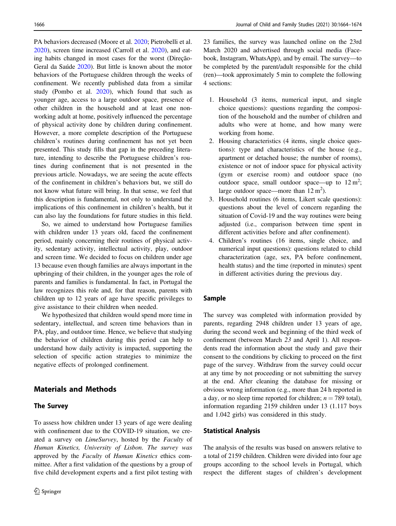PA behaviors decreased (Moore et al. [2020;](#page-9-0) Pietrobelli et al. [2020\)](#page-9-0), screen time increased (Carroll et al. [2020\)](#page-8-0), and eating habits changed in most cases for the worst (Direção-Geral da Saúde [2020](#page-8-0)). But little is known about the motor behaviors of the Portuguese children through the weeks of confinement. We recently published data from a similar study (Pombo et al. [2020\)](#page-9-0), which found that such as younger age, access to a large outdoor space, presence of other children in the household and at least one nonworking adult at home, positively influenced the percentage of physical activity done by children during confinement. However, a more complete description of the Portuguese children's routines during confinement has not yet been presented. This study fills that gap in the preceding literature, intending to describe the Portuguese children's routines during confinement that is not presented in the previous article. Nowadays, we are seeing the acute effects of the confinement in children's behaviors but, we still do not know what future will bring. In that sense, we feel that this description is fundamental, not only to understand the implications of this confinement in children's health, but it can also lay the foundations for future studies in this field.

So, we aimed to understand how Portuguese families with children under 13 years old, faced the confinement period, mainly concerning their routines of physical activity, sedentary activity, intellectual activity, play, outdoor and screen time. We decided to focus on children under age 13 because even though families are always important in the upbringing of their children, in the younger ages the role of parents and families is fundamental. In fact, in Portugal the law recognizes this role and, for that reason, parents with children up to 12 years of age have specific privileges to give assistance to their children when needed.

We hypothesized that children would spend more time in sedentary, intellectual, and screen time behaviors than in PA, play, and outdoor time. Hence, we believe that studying the behavior of children during this period can help to understand how daily activity is impacted, supporting the selection of specific action strategies to minimize the negative effects of prolonged confinement.

# Materials and Methods

#### The Survey

To assess how children under 13 years of age were dealing with confinement due to the COVID-19 situation, we created a survey on LimeSurvey, hosted by the Faculty of Human Kinetics, University of Lisbon. The survey was approved by the Faculty of Human Kinetics ethics committee. After a first validation of the questions by a group of five child development experts and a first pilot testing with 23 families, the survey was launched online on the 23rd March 2020 and advertised through social media (Facebook, Instagram, WhatsApp), and by email. The survey—to be completed by the parent/adult responsible for the child (ren)—took approximately 5 min to complete the following 4 sections:

- 1. Household (3 items, numerical input, and single choice questions): questions regarding the composition of the household and the number of children and adults who were at home, and how many were working from home.
- 2. Housing characteristics (4 items, single choice questions): type and characteristics of the house (e.g., apartment or detached house; the number of rooms), existence or not of indoor space for physical activity (gym or exercise room) and outdoor space (no outdoor space, small outdoor space—up to  $12 \text{ m}^2$ ; large outdoor space—more than  $12 \text{ m}^2$ ).
- 3. Household routines (6 items, Likert scale questions): questions about the level of concern regarding the situation of Covid-19 and the way routines were being adjusted (i.e., comparison between time spent in different activities before and after confinement).
- 4. Children's routines (16 items, single choice, and numerical input questions): questions related to child characterization (age, sex, PA before confinement, health status) and the time (reported in minutes) spent in different activities during the previous day.

## Sample

The survey was completed with information provided by parents, regarding 2948 children under 13 years of age, during the second week and beginning of the third week of confinement (between March 23 and April 1). All respondents read the information about the study and gave their consent to the conditions by clicking to proceed on the first page of the survey. Withdraw from the survey could occur at any time by not proceeding or not submitting the survey at the end. After cleaning the database for missing or obvious wrong information (e.g., more than 24 h reported in a day, or no sleep time reported for children;  $n = 789$  total), information regarding 2159 children under 13 (1.117 boys and 1.042 girls) was considered in this study.

#### Statistical Analysis

The analysis of the results was based on answers relative to a total of 2159 children. Children were divided into four age groups according to the school levels in Portugal, which respect the different stages of children's development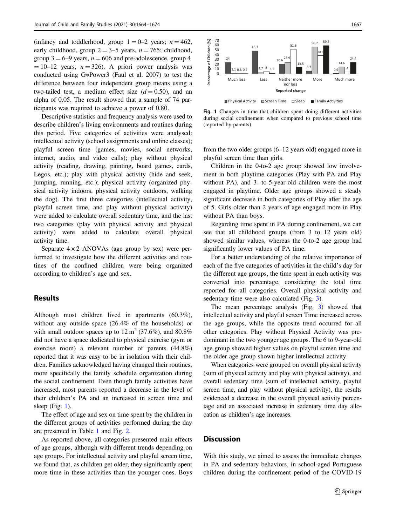(infancy and toddlerhood, group  $1 = 0-2$  years;  $n = 462$ , early childhood, group  $2 = 3-5$  years,  $n = 765$ ; childhood, group  $3 = 6-9$  years,  $n = 606$  and pre-adolescence, group 4  $= 10-12$  years,  $n = 326$ ). A priori power analysis was conducted using G∗Power3 (Faul et al. 2007) to test the difference between four independent group means using a two-tailed test, a medium effect size  $(d = 0.50)$ , and an alpha of 0.05. The result showed that a sample of 74 participants was required to achieve a power of 0.80.

Descriptive statistics and frequency analysis were used to describe children's living environments and routines during this period. Five categories of activities were analysed: intellectual activity (school assignments and online classes); playful screen time (games, movies, social networks, internet, audio, and video calls); play without physical activity (reading, drawing, painting, board games, cards, Legos, etc.); play with physical activity (hide and seek, jumping, running, etc.); physical activity (organized physical activity indoors, physical activity outdoors, walking the dog). The first three categories (intellectual activity, playful screen time, and play without physical activity) were added to calculate overall sedentary time, and the last two categories (play with physical activity and physical activity) were added to calculate overall physical activity time.

Separate  $4 \times 2$  ANOVAs (age group by sex) were performed to investigate how the different activities and routines of the confined children were being organized according to children's age and sex.

## Results

Although most children lived in apartments (60.3%), without any outside space (26.4% of the households) or with small outdoor spaces up to  $12 \text{ m}^2$  (37.6%), and 80.8% did not have a space dedicated to physical exercise (gym or exercise room) a relevant number of parents (44.8%) reported that it was easy to be in isolation with their children. Families acknowledged having changed their routines, more specifically the family schedule organization during the social confinement. Even though family activities have increased, most parents reported a decrease in the level of their children's PA and an increased in screen time and sleep (Fig. 1).

The effect of age and sex on time spent by the children in the different groups of activities performed during the day are presented in Table [1](#page-4-0) and Fig. [2](#page-5-0).

As reported above, all categories presented main effects of age groups, although with different trends depending on age groups. For intellectual activity and playful screen time, we found that, as children get older, they significantly spent more time in these activities than the younger ones. Boys



Fig. 1 Changes in time that children spent doing different activities during social confinement when compared to previous school time (reported by parents)

from the two older groups (6–12 years old) engaged more in playful screen time than girls.

Children in the 0-to-2 age group showed low involvement in both playtime categories (Play with PA and Play without PA), and 3- to-5-year-old children were the most engaged in playtime. Older age groups showed a steady significant decrease in both categories of Play after the age of 5. Girls older than 2 years of age engaged more in Play without PA than boys.

Regarding time spent in PA during confinement, we can see that all childhood groups (from 3 to 12 years old) showed similar values, whereas the 0-to-2 age group had significantly lower values of PA time.

For a better understanding of the relative importance of each of the five categories of activities in the child's day for the different age groups, the time spent in each activity was converted into percentage, considering the total time reported for all categories. Overall physical activity and sedentary time were also calculated (Fig. [3](#page-6-0)).

The mean percentage analysis (Fig. [3](#page-6-0)) showed that intellectual activity and playful screen Time increased across the age groups, while the opposite trend occurred for all other categories. Play without Physical Activity was predominant in the two younger age groups. The 6 to 9-year-old age group showed higher values on playful screen time and the older age group shown higher intellectual activity.

When categories were grouped on overall physical activity (sum of physical activity and play with physical activity), and overall sedentary time (sum of intellectual activity, playful screen time, and play without physical activity), the results evidenced a decrease in the overall physical activity percentage and an associated increase in sedentary time day allocation as children's age increases.

# **Discussion**

With this study, we aimed to assess the immediate changes in PA and sedentary behaviors, in school-aged Portuguese children during the confinement period of the COVID-19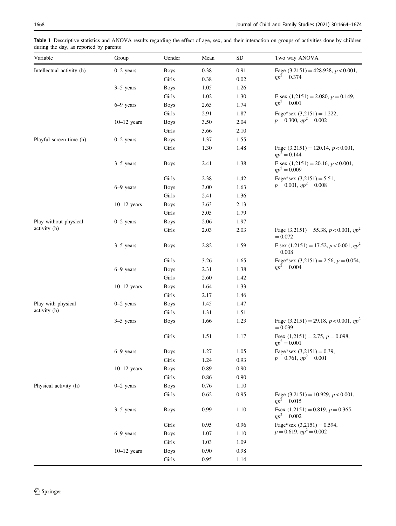<span id="page-4-0"></span>Table 1 Descriptive statistics and ANOVA results regarding the effect of age, sex, and their interaction on groups of activities done by children during the day, as reported by parents

| Variable                              | Group                        | Gender                 | Mean     | <b>SD</b>  | Two way ANOVA                                                    |
|---------------------------------------|------------------------------|------------------------|----------|------------|------------------------------------------------------------------|
| Intellectual activity (h)             | $0-2$ years                  | <b>Boys</b>            | 0.38     | 0.91       | Fage $(3,2151) = 428.938$ , $p < 0.001$ ,<br>$np^2 = 0.374$      |
|                                       |                              | Girls                  | 0.38     | $0.02\,$   |                                                                  |
|                                       | $3-5$ years                  | <b>Boys</b>            | 1.05     | 1.26       |                                                                  |
|                                       | $6-9$ years                  | Girls                  | 1.02     | 1.30       | F sex $(1,2151) = 2.080, p = 0.149,$<br>$np^2 = 0.001$           |
|                                       |                              | <b>Boys</b>            | 2.65     | 1.74       |                                                                  |
|                                       |                              | Girls                  | 2.91     | 1.87       | Fage*sex $(3,2151) = 1.222$ ,<br>$p = 0.300, \eta p^2 = 0.002$   |
|                                       | $10-12$ years                | <b>Boys</b>            | 3.50     | 2.04       |                                                                  |
|                                       |                              | Girls                  | 3.66     | 2.10       |                                                                  |
| Playful screen time (h)               | $0-2$ years                  | <b>Boys</b>            | 1.37     | 1.55       |                                                                  |
|                                       |                              | Girls                  | 1.30     | 1.48       | Fage $(3,2151) = 120.14$ , $p < 0.001$ ,<br>$np^2 = 0.144$       |
|                                       | $3-5$ years                  | <b>Boys</b>            | 2.41     | 1.38       | F sex $(1,2151) = 20.16, p < 0.001,$<br>$np^2 = 0.009$           |
|                                       |                              | Girls                  | 2.38     | 1,42       | Fage*sex $(3,2151) = 5.51$ ,<br>$p = 0.001$ , $np^2 = 0.008$     |
|                                       | $6-9$ years                  | <b>Boys</b>            | $3.00\,$ | 1.63       |                                                                  |
|                                       |                              | Girls                  | 2.41     | 1.36       |                                                                  |
|                                       | $10-12$ years                | <b>Boys</b>            | 3.63     | 2.13       |                                                                  |
|                                       |                              | Girls                  | 3.05     | 1.79       |                                                                  |
| Play without physical<br>activity (h) | $0-2$ years                  | <b>Boys</b>            | 2.06     | 1.97       |                                                                  |
|                                       |                              | Girls                  | 2.03     | 2.03       | Fage (3,2151) = 55.38, $p < 0.001$ , $np2$<br>$= 0.072$          |
|                                       | $3-5$ years                  | <b>Boys</b>            | 2.82     | 1.59       | F sex $(1,2151) = 17.52, p < 0.001, \eta p^2$<br>$= 0.008$       |
|                                       |                              | Girls                  | 3.26     | 1.65       | Fage*sex $(3,2151) = 2.56$ , $p = 0.054$ ,<br>$\eta p^2 = 0.004$ |
|                                       | $6-9$ years<br>$10-12$ years | <b>Boys</b>            | 2.31     | 1.38       |                                                                  |
|                                       |                              | Girls                  | 2.60     | 1.42       |                                                                  |
|                                       |                              | <b>Boys</b>            | 1.64     | 1.33       |                                                                  |
|                                       |                              | Girls                  | 2.17     | 1.46       |                                                                  |
| Play with physical<br>activity (h)    | $0-2$ years                  | <b>Boys</b>            | 1.45     | 1.47       |                                                                  |
|                                       |                              | Girls                  | 1.31     | 1.51       |                                                                  |
|                                       | $3-5$ years                  | <b>Boys</b>            | 1.66     | 1.23       | Fage (3,2151) = 29.18, $p < 0.001$ , $np2$<br>$= 0.039$          |
|                                       |                              | Girls                  | 1.51     | 1.17       | Fsex $(1,2151) = 2.75$ , $p = 0.098$ ,<br>$\eta p^2 = 0.001$     |
|                                       | 6-9 years                    | <b>Boys</b>            | 1.27     | 1.05       | Fage*sex $(3,2151) = 0.39$ ,<br>$p = 0.761$ , $np^2 = 0.001$     |
|                                       |                              | Girls                  | 1.24     | 0.93       |                                                                  |
|                                       | $10-12$ years                | <b>Boys</b>            | 0.89     | $0.90\,$   |                                                                  |
|                                       |                              | $\operatorname{Girls}$ | $0.86\,$ | $0.90\,$   |                                                                  |
| Physical activity (h)                 | $0-2$ years                  | <b>Boys</b>            | 0.76     | $1.10\,$   |                                                                  |
|                                       |                              | Girls                  | 0.62     | 0.95       | Fage $(3,2151) = 10.929$ , $p < 0.001$ ,<br>$np^2 = 0.015$       |
|                                       | $3-5$ years                  | <b>Boys</b>            | 0.99     | 1.10       | Fsex $(1,2151) = 0.819$ , $p = 0.365$ ,<br>$np^2 = 0.002$        |
|                                       |                              | Girls                  | 0.95     | 0.96       | Fage*sex $(3,2151) = 0.594$ ,<br>$p = 0.619$ , $np^2 = 0.002$    |
|                                       | $6-9$ years                  | <b>Boys</b>            | 1.07     | 1.10       |                                                                  |
|                                       |                              | Girls                  | 1.03     | 1.09       |                                                                  |
|                                       | $10-12$ years                | <b>Boys</b>            | $0.90\,$ | $\rm 0.98$ |                                                                  |
|                                       |                              | $\operatorname{Girls}$ | 0.95     | 1.14       |                                                                  |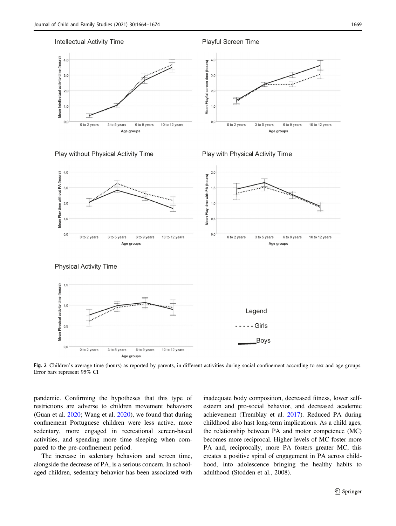<span id="page-5-0"></span>

Fig. 2 Children's average time (hours) as reported by parents, in different activities during social confinement according to sex and age groups. Error bars represent 95% CI

pandemic. Confirming the hypotheses that this type of restrictions are adverse to children movement behaviors (Guan et al. [2020](#page-8-0); Wang et al. [2020](#page-10-0)), we found that during confinement Portuguese children were less active, more sedentary, more engaged in recreational screen-based activities, and spending more time sleeping when compared to the pre-confinement period.

The increase in sedentary behaviors and screen time, alongside the decrease of PA, is a serious concern. In schoolaged children, sedentary behavior has been associated with inadequate body composition, decreased fitness, lower selfesteem and pro-social behavior, and decreased academic achievement (Tremblay et al. [2017\)](#page-10-0). Reduced PA during childhood also hast long-term implications. As a child ages, the relationship between PA and motor competence (MC) becomes more reciprocal. Higher levels of MC foster more PA and, reciprocally, more PA fosters greater MC, this creates a positive spiral of engagement in PA across childhood, into adolescence bringing the healthy habits to adulthood (Stodden et al., 2008).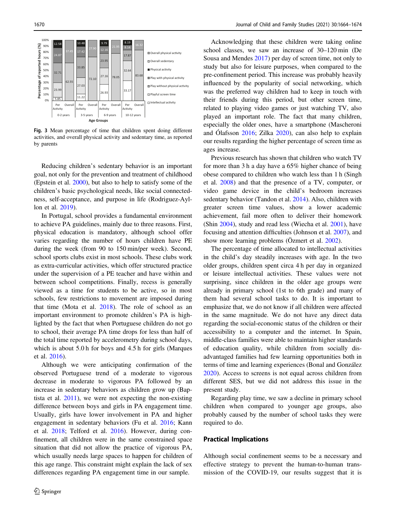<span id="page-6-0"></span>

Fig. 3 Mean percentage of time that children spent doing different activities, and overall physical activity and sedentary time, as reported by parents

Reducing children's sedentary behavior is an important goal, not only for the prevention and treatment of childhood (Epstein et al. [2000](#page-8-0)), but also to help to satisfy some of the children's basic psychological needs, like social connectedness, self-acceptance, and purpose in life (Rodriguez-Ayllon et al. [2019](#page-9-0)).

In Portugal, school provides a fundamental environment to achieve PA guidelines, mainly due to three reasons. First, physical education is mandatory, although school offer varies regarding the number of hours children have PE during the week (from 90 to 150 min/per week). Second, school sports clubs exist in most schools. These clubs work as extra-curricular activities, which offer structured practice under the supervision of a PE teacher and have within and between school competitions. Finally, recess is generally viewed as a time for students to be active, so in most schools, few restrictions to movement are imposed during that time (Mota et al. [2018\)](#page-9-0). The role of school as an important environment to promote children's PA is highlighted by the fact that when Portuguese children do not go to school, their average PA time drops for less than half of the total time reported by accelerometry during school days, which is about 5.0 h for boys and 4.5 h for girls (Marques et al. [2016](#page-9-0)).

Although we were anticipating confirmation of the observed Portuguese trend of a moderate to vigorous decrease in moderate to vigorous PA followed by an increase in sedentary behaviors as children grow up (Baptista et al. [2011\)](#page-8-0), we were not expecting the non-existing difference between boys and girls in PA engagement time. Usually, girls have lower involvement in PA and higher engagement in sedentary behaviors (Fu et al. [2016;](#page-8-0) Kann et al. [2018;](#page-8-0) Telford et al. [2016](#page-9-0)). However, during confinement, all children were in the same constrained space situation that did not allow the practice of vigorous PA, which usually needs large spaces to happen for children of this age range. This constraint might explain the lack of sex differences regarding PA engagement time in our sample.

Acknowledging that these children were taking online school classes, we saw an increase of 30–120 min (De Sousa and Mendes [2017\)](#page-8-0) per day of screen time, not only to study but also for leisure purposes, when compared to the pre-confinement period. This increase was probably heavily influenced by the popularity of social networking, which was the preferred way children had to keep in touch with their friends during this period, but other screen time, related to playing video games or just watching TV, also played an important role. The fact that many children, especially the older ones, have a smartphone (Mascheroni and Ólafsson [2016;](#page-9-0) Zilka [2020](#page-10-0)), can also help to explain our results regarding the higher percentage of screen time as ages increase.

Previous research has shown that children who watch TV for more than 3 h a day have a 65% higher chance of being obese compared to children who watch less than 1 h (Singh et al. [2008](#page-9-0)) and that the presence of a TV, computer, or video game device in the child's bedroom increases sedentary behavior (Tandon et al. [2014](#page-9-0)). Also, children with greater screen time values, show a lower academic achievement, fail more often to deliver their homework (Shin [2004](#page-9-0)), study and read less (Wiecha et al. [2001\)](#page-10-0), have focusing and attention difficulties (Johnson et al. [2007\)](#page-8-0), and show more learning problems (Özmert et al. [2002](#page-9-0)).

The percentage of time allocated to intellectual activities in the child's day steadily increases with age. In the two older groups, children spent circa 4 h per day in organized or leisure intellectual activities. These values were not surprising, since children in the older age groups were already in primary school (1st to 6th grade) and many of them had several school tasks to do. It is important to emphasize that, we do not know if all children were affected in the same magnitude. We do not have any direct data regarding the social-economic status of the children or their accessibility to a computer and the internet. In Spain, middle-class families were able to maintain higher standards of education quality, while children from socially disadvantaged families had few learning opportunities both in terms of time and learning experiences (Bonal and González [2020](#page-8-0)). Access to screens is not equal across children from different SES, but we did not address this issue in the present study.

Regarding play time, we saw a decline in primary school children when compared to younger age groups, also probably caused by the number of school tasks they were required to do.

#### Practical Implications

Although social confinement seems to be a necessary and effective strategy to prevent the human-to-human transmission of the COVID-19, our results suggest that it is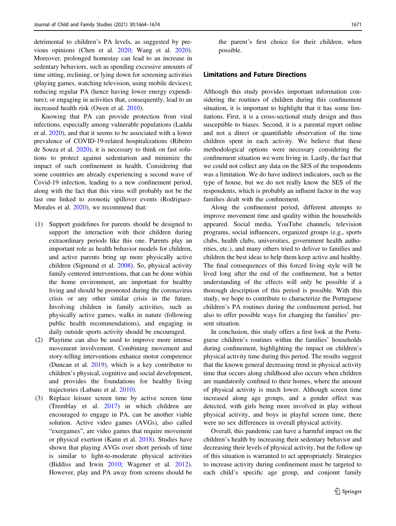detrimental to children's PA levels, as suggested by previous opinions (Chen et al. [2020;](#page-8-0) Wang et al. [2020](#page-10-0)). Moreover, prolonged homestay can lead to an increase in sedentary behaviors, such as spending excessive amounts of time sitting, reclining, or lying down for screening activities (playing games, watching television, using mobile devices); reducing regular PA (hence having lower energy expenditure); or engaging in activities that, consequently, lead to an increased health risk (Owen et al. [2010\)](#page-9-0).

Knowing that PA can provide protection from viral infections, especially among vulnerable populations (Laddu et al. [2020](#page-9-0)), and that it seems to be associated with a lower prevalence of COVID-19-related hospitalizations (Ribeiro de Souza et al. [2020\)](#page-9-0), it is necessary to think on fast solutions to protect against sedentarism and minimize the impact of such confinement in health. Considering that some countries are already experiencing a second wave of Covid-19 infection, leading to a new confinement period, along with the fact that this virus will probably not be the last one linked to zoonotic spillover events (Rodriguez-Morales et al. [2020\)](#page-9-0), we recommend that:

- (1) Support guidelines for parents should be designed to support the interaction with their children during extraordinary periods like this one. Parents play an important role as health behavior models for children, and active parents bring up more physically active children (Sigmund et al. [2008\)](#page-9-0). So, physical activity family-centered interventions, that can be done within the home environment, are important for healthy living and should be promoted during the coronavirus crisis or any other similar crisis in the future. Involving children in family activities, such as physically active games, walks in nature (following public health recommendations), and engaging in daily outside sports activity should be encouraged.
- (2) Playtime can also be used to improve more intense movement involvement. Combining movement and story-telling interventions enhance motor competence (Duncan et al. [2019](#page-8-0)), which is a key contributor to children's physical, cognitive and social development, and provides the foundations for healthy living trajectories (Lubans et al. [2010\)](#page-9-0).
- (3) Replace leisure screen time by active screen time (Tremblay et al. [2017\)](#page-10-0) in which children are encouraged to engage in PA, can be another viable solution. Active video games (AVGs), also called "exergames", are video games that require movement or physical exertion (Kann et al. [2018\)](#page-8-0). Studies have shown that playing AVGs over short periods of time is similar to light-to-moderate physical activities (Biddiss and Irwin [2010](#page-8-0); Wagener et al. [2012](#page-10-0)). However, play and PA away from screens should be

the parent's first choice for their children, when possible.

#### Limitations and Future Directions

Although this study provides important information considering the routines of children during this confinement situation, it is important to highlight that it has some limitations. First, it is a cross-sectional study design and thus susceptible to biases. Second, it is a parental report online and not a direct or quantifiable observation of the time children spent in each activity. We believe that these methodological options were necessary considering the confinement situation we were living in. Lastly, the fact that we could not collect any data on the SES of the respondents was a limitation. We do have indirect indicators, such as the type of house, but we do not really know the SES of the respondents, which is probably an influent factor in the way families dealt with the confinement.

Along the confinement period, different attempts to improve movement time and quality within the households appeared. Social media, YouTube channels, television programs, social influencers, organized groups (e.g., sports clubs, health clubs, universities, government health authorities, etc.), and many others tried to deliver to families and children the best ideas to help them keep active and healthy. The final consequences of this forced living style will be lived long after the end of the confinement, but a better understanding of the effects will only be possible if a thorough description of this period is possible. With this study, we hope to contribute to characterize the Portuguese children's PA routines during the confinement period, but also to offer possible ways for changing the families' present situation.

In conclusion, this study offers a first look at the Portuguese children's routines within the families' households during confinement, highlighting the impact on children's physical activity time during this period. The results suggest that the known general decreasing trend in physical activity time that occurs along childhood also occurs when children are mandatorily confined to their homes, where the amount of physical activity is much lower. Although screen time increased along age groups, and a gender effect was detected, with girls being more involved in play without physical activity, and boys in playful screen time, there were no sex differences in overall physical activity.

Overall, this pandemic can have a harmful impact on the children's health by increasing their sedentary behavior and decreasing their levels of physical activity, but the follow up of this situation is warranted to act appropriately. Strategies to increase activity during confinement must be targeted to each child's specific age group, and conjoint family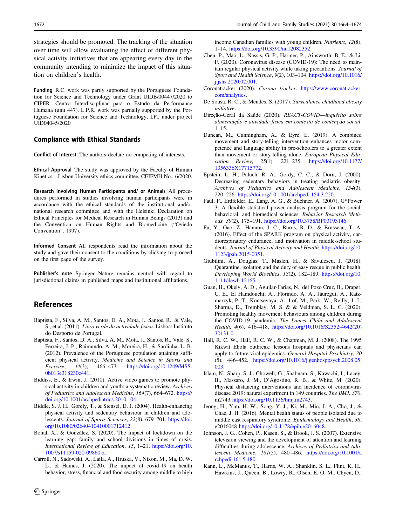<span id="page-8-0"></span>strategies should be promoted. The tracking of the situation over time will allow evaluating the effect of different physical activity initiatives that are appearing every day in the community intending to minimize the impact of this situation on children's health.

Funding R.C. work was partly supported by the Portuguese Foundation for Science and Technology under Grant UIDB/00447/2020 to CIPER—Centro Interdisciplinar para o Estudo da Performance Humana (unit 447). L.P.R. work was partially supported by the Portuguese Foundation for Science and Technology, I.P., under project UID04045/2020

## Compliance with Ethical Standards

Conflict of Interest The authors declare no competing of interests.

Ethical Approval The study was approved by the Faculty of Human Kinetics—Lisbon University ethics committee, CEIFMH No.: 6/2020.

Research Involving Human Participants and/ or Animals All procedures performed in studies involving human participants were in accordance with the ethical standards of the institutional and/or national research committee and with the Helsinki Declaration on Ethical Principles for Medical Research in Human Beings (2013) and the Convention on Human Rights and Biomedicine ("Oviedo Convention", 1997).

Informed Consent All respondents read the information about the study and gave their consent to the conditions by clicking to proceed on the first page of the survey.

Publisher's note Springer Nature remains neutral with regard to jurisdictional claims in published maps and institutional affiliations.

# References

- Baptista, F., Silva, A. M., Santos, D. A., Mota, J., Santos, R., & Vale, S., et al. (2011). Livro verde da actividade física. Lisboa: Instituto do Desporto de Portugal.
- Baptista, F., Santos, D. A., Silva, A. M., Mota, J., Santos, R., Vale, S., Ferreira, J. P., Raimundo, A. M., Moreira, H., & Sardinha, L. B. (2012). Prevalence of the Portuguese population attaining sufficient physical activity. Medicine and Science in Sports and Exercise, 44(3), 466–473. [https://doi.org/10.1249/MSS.](https://doi.org/10.1249/MSS.0b013e318230e441) [0b013e318230e441.](https://doi.org/10.1249/MSS.0b013e318230e441)
- Biddiss, E., & Irwin, J. (2010). Active video games to promote physical activity in children and youth: a systematic review. Archives of Pediatrics and Adolescent Medicine, 164(7), 664–672. [https://](https://doi.org/10.1001/archpediatrics.2010.104) [doi.org/10.1001/archpediatrics.2010.104.](https://doi.org/10.1001/archpediatrics.2010.104)
- Biddle, S. J. H., Gorely, T., & Stensel, D. J. (2004). Health-enhancing physical activity and sedentary behaviour in children and adolescents. Journal of Sports Sciences, 22(8), 679–701. [https://doi.](https://doi.org/10.1080/02640410410001712412) [org/10.1080/02640410410001712412](https://doi.org/10.1080/02640410410001712412).
- Bonal, X., & González, S. (2020). The impact of lockdown on the learning gap: family and school divisions in times of crisis. International Review of Education, 15, 1–21. [https://doi.org/10.](https://doi.org/10.1007/s11159-020-09860-z) [1007/s11159-020-09860-z](https://doi.org/10.1007/s11159-020-09860-z).
- Carroll, N., Sadowski, A., Laila, A., Hruska, V., Nixon, M., Ma, D. W. L., & Haines, J. (2020). The impact of covid-19 on health behavior, stress, financial and food security among middle to high

income Canadian families with young children. Nutrients, 12(8), 1–14. [https://doi.org/10.3390/nu12082352.](https://doi.org/10.3390/nu12082352)

- Chen, P., Mao, L., Nassis, G. P., Harmer, P., Ainsworth, B. E., & Li, F. (2020). Coronavirus disease (COVID-19): The need to maintain regular physical activity while taking precautions. Journal of Sport and Health Science, 9(2), 103–104. [https://doi.org/10.1016/](https://doi.org/10.1016/j.jshs.2020.02.001) [j.jshs.2020.02.001](https://doi.org/10.1016/j.jshs.2020.02.001).
- Coronatracker (2020). Corona tracker. [https://www.coronatracker.](https://www.coronatracker.com/analytics) [com/analytics.](https://www.coronatracker.com/analytics)
- De Sousa, R. C., & Mendes, S. (2017). Surveillance childhood obesity initiative.
- Direção-Geral da Saúde (2020). REACT-COVID—inquérito sobre alimentação e atividade física em contexto de contenção social.  $1 - 15$ .
- Duncan, M., Cunningham, A., & Eyre, E. (2019). A combined movement and story-telling intervention enhances motor competence and language ability in pre-schoolers to a greater extent than movement or story-telling alone. European Physical Education Review, 25(1), 221–235. [https://doi.org/10.1177/](https://doi.org/10.1177/1356336X17715772) [1356336X17715772.](https://doi.org/10.1177/1356336X17715772)
- Epstein, L. H., Paluch, R. A., Gordy, C. C., & Dorn, J. (2000). Decreasing sedentary behaviors in treating pediatric obesity. Archives of Pediatrics and Adolescent Medicine, 154(3), 220–226. [https://doi.org/10.1001/archpedi.154.3.220.](https://doi.org/10.1001/archpedi.154.3.220)
- Faul, F., Erdfelder, E., Lang, A. G., & Buchner, A. (2007). G\*Power 3: A flexible statistical power analysis program for the social, behavioral, and biomedical sciences. Behavior Research Methods, 39(2), 175–191. <https://doi.org/10.3758/BF03193146>.
- Fu, Y., Gao, Z., Hannon, J. C., Burns, R. D., & Brusseau, T. A. (2016). Effect of the SPARK program on physical activity, cardiorespiratory endurance, and motivation in middle-school students. Journal of Physical Activity and Health. [https://doi.org/10.](https://doi.org/10.1123/jpah.2015-0351) [1123/jpah.2015-0351.](https://doi.org/10.1123/jpah.2015-0351)
- Giubilini, A., Douglas, T., Maslen, H., & Savulescu, J. (2018). Quarantine, isolation and the duty of easy rescue in public health. Developing World Bioethics, 18(2), 182–189. [https://doi.org/10.](https://doi.org/10.1111/dewb.12165) [1111/dewb.12165.](https://doi.org/10.1111/dewb.12165)
- Guan, H., Okely, A. D., Aguilar-Farias, N., del Pozo Cruz, B., Draper, C. E., El Hamdouchi, A., Florindo, A. A., Jáuregui, A., Katzmarzyk, P. T., Kontsevaya, A., Löf, M., Park, W., Reilly, J. J., Sharma, D., Tremblay, M. S. & & Veldman, S. L. C. (2020). Promoting healthy movement behaviours among children during the COVID-19 pandemic. The Lancet Child and Adolescent Health, 4(6), 416–418. [https://doi.org/10.1016/S2352-4642\(20\)](https://doi.org/10.1016/S2352-4642(20)30131-0) [30131-0](https://doi.org/10.1016/S2352-4642(20)30131-0).
- Hall, R. C. W., Hall, R. C. W., & Chapman, M. J. (2008). The 1995 Kikwit Ebola outbreak: lessons hospitals and physicians can apply to future viral epidemics. General Hospital Psychiatry, 30 (5), 446–452. [https://doi.org/10.1016/j.genhosppsych.2008.05.](https://doi.org/10.1016/j.genhosppsych.2008.05.003) [003.](https://doi.org/10.1016/j.genhosppsych.2008.05.003)
- Islam, N., Sharp, S. J., Chowell, G., Shabnam, S., Kawachi, I., Lacey, B., Massaro, J. M., D'Agostino, R. B., & White, M. (2020). Physical distancing interventions and incidence of coronavirus disease 2019: natural experiment in 149 countries. The BMJ, 370, m2743 <https://doi.org/10.1136/bmj.m2743>.
- Jeong, H., Yim, H. W., Song, Y. J., Ki, M., Min, J. A., Cho, J., & Chae, J. H. (2016). Mental health status of people isolated due to middle east respiratory syndrome. Epidemiology and Health, 38, e2016048 [https://doi.org/10.4178/epih.e2016048.](https://doi.org/10.4178/epih.e2016048)
- Johnson, J. G., Cohen, P., Kasen, S., & Brook, J. S. (2007). Extensive television viewing and the development of attention and learning difficulties during adolescence. Archives of Pediatrics and Adolescent Medicine, 161(5), 480–486. [https://doi.org/10.1001/a](https://doi.org/10.1001/archpedi.161.5.480) [rchpedi.161.5.480](https://doi.org/10.1001/archpedi.161.5.480).
- Kann, L., McManus, T., Harris, W. A., Shanklin, S. L., Flint, K. H., Hawkins, J., Queen, B., Lowry, R., Olsen, E. O. M., Chyen, D.,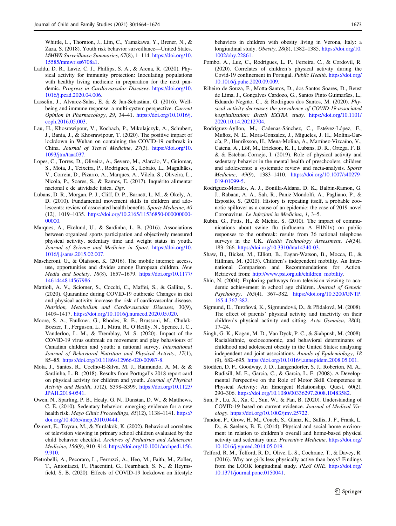<span id="page-9-0"></span>Whittle, L., Thornton, J., Lim, C., Yamakawa, Y., Brener, N., & Zaza, S. (2018). Youth risk behavior surveillance—United States. MMWR Surveillance Summaries, 67(8), 1–114. [https://doi.org/10.](https://doi.org/10.15585/mmwr.ss6708a1) [15585/mmwr.ss6708a1.](https://doi.org/10.15585/mmwr.ss6708a1)

- Laddu, D. R., Lavie, C. J., Phillips, S. A., & Arena, R. (2020). Physical activity for immunity protection: Inoculating populations with healthy living medicine in preparation for the next pandemic. Progress in Cardiovascular Diseases. [https://doi.org/10.](https://doi.org/10.1016/j.pcad.2020.04.006) [1016/j.pcad.2020.04.006](https://doi.org/10.1016/j.pcad.2020.04.006).
- Lasselin, J., Alvarez-Salas, E. & & Jan-Sebastian, G. (2016). Wellbeing and immune response: a multi-system perspective. Current Opinion in Pharmacology, 29, 34–41. [https://doi.org/10.1016/j.](https://doi.org/10.1016/j.coph.2016.05.003) [coph.2016.05.003.](https://doi.org/10.1016/j.coph.2016.05.003)
- Lau, H., Khosrawipour, V., Kocbach, P., Mikolajczyk, A., Schubert, J., Bania, J., & Khosrawipour, T. (2020). The positive impact of lockdown in Wuhan on containing the COVID-19 outbreak in China. Journal of Travel Medicine, 27(3). [https://doi.org/10.](https://doi.org/10.1093/jtm/taaa037) [1093/jtm/taaa037.](https://doi.org/10.1093/jtm/taaa037)
- Lopes, C., Torres, D., Oliveira, A., Severo, M., Alarcão, V., Guiomar, S., Mota, J., Teixeira, P., Rodrigues, S., Lobato, L., Magalhães, V., Correia, D., Pizarro, A., Marques, A., Vilela, S., Oliveira, L., Nicola, P., Soares, S., & Ramos, E. (2017). Inquérito alimentar nacional e de atividade fisica. Dgs.
- Lubans, D. R., Morgan, P. J., Cliff, D. P., Barnett, L. M., & Okely, A. D. (2010). Fundamental movement skills in children and adolescents: review of associated health benefits. Sports Medicine, 40 (12), 1019–1035. [https://doi.org/10.2165/11536850-000000000-](https://doi.org/10.2165/11536850-000000000-00000) [00000](https://doi.org/10.2165/11536850-000000000-00000).
- Marques, A., Ekelund, U., & Sardinha, L. B. (2016). Associations between organized sports participation and objectively measured physical activity, sedentary time and weight status in youth. Journal of Science and Medicine in Sport. [https://doi.org/10.](https://doi.org/10.1016/j.jsams.2015.02.007) [1016/j.jsams.2015.02.007](https://doi.org/10.1016/j.jsams.2015.02.007).
- Mascheroni, G., & Ólafsson, K. (2016). The mobile internet: access, use, opportunities and divides among European children. New Media and Society, 18(8), 1657–1679. [https://doi.org/10.1177/](https://doi.org/10.1177/1461444814567986) [1461444814567986.](https://doi.org/10.1177/1461444814567986)
- Mattioli, A. V., Sciomer, S., Cocchi, C., Maffei, S., & Gallina, S. (2020). Quarantine during COVID-19 outbreak: Changes in diet and physical activity increase the risk of cardiovascular disease. Nutrition, Metabolism and Cardiovascular Diseases, 30(9), 1409–1417. <https://doi.org/10.1016/j.numecd.2020.05.020>.
- Moore, S. A., Faulkner, G., Rhodes, R. E., Brussoni, M., Chulak-Bozzer, T., Ferguson, L. J., Mitra, R., O'Reilly, N., Spence, J. C., Vanderloo, L. M., & Tremblay, M. S. (2020). Impact of the COVID-19 virus outbreak on movement and play behaviours of Canadian children and youth: a national survey. International Journal of Behavioral Nutrition and Physical Activity, 17(1), 85–85. <https://doi.org/10.1186/s12966-020-00987-8>.
- Mota, J., Santos, R., Coelho-E-Silva, M. J., Raimundo, A. M. & & Sardinha, L. B. (2018). Results from Portugal's 2018 report card on physical activity for children and youth. Journal of Physical Activity and Health, 15(2), S398–S399. [https://doi.org/10.1123/](https://doi.org/10.1123/JPAH.2018-0541) [JPAH.2018-0541.](https://doi.org/10.1123/JPAH.2018-0541)
- Owen, N., Sparling, P. B., Healy, G. N., Dunstan, D. W., & Matthews, C. E. (2010). Sedentary behavior: emerging evidence for a new health risk. Mayo Clinic Proceedings, 85(12), 1138-1141. [https://](https://doi.org/10.4065/mcp.2010.0444) [doi.org/10.4065/mcp.2010.0444.](https://doi.org/10.4065/mcp.2010.0444)
- Özmert, E., Toyran, M., & Yurdakök, K. (2002). Behavioral correlates of television viewing in primary school children evaluated by the child behavior checklist. Archives of Pediatrics and Adolescent Medicine, 156(9), 910–914. [https://doi.org/10.1001/archpedi.156.](https://doi.org/10.1001/archpedi.156.9.910) [9.910](https://doi.org/10.1001/archpedi.156.9.910).
- Pietrobelli, A., Pecoraro, L., Ferruzzi, A., Heo, M., Faith, M., Zoller, T., Antoniazzi, F., Piacentini, G., Fearnbach, S. N., & Heymsfield, S. B. (2020). Effects of COVID‐19 lockdown on lifestyle

behaviors in children with obesity living in Verona, Italy: a longitudinal study. Obesity, 28(8), 1382–1385. [https://doi.org/10.](https://doi.org/10.1002/oby.22861) [1002/oby.22861](https://doi.org/10.1002/oby.22861).

- Pombo, A., Luz, C., Rodrigues, L. P., Ferreira, C., & Cordovil, R. (2020). Correlates of children's physical activity during the Covid-19 confinement in Portugal. Public Health. [https://doi.org/](https://doi.org/10.1016/j.puhe.2020.09.009) [10.1016/j.puhe.2020.09.009](https://doi.org/10.1016/j.puhe.2020.09.009).
- Ribeiro de Souza, F., Motta-Santos, D., dos Santos Soares, D., Beust de Lima, J., Gonçalves Cardozo, G., Santos Pinto Guimarães, L., Eduardo Negrão, C., & Rodrigues dos Santos, M. (2020). Physical activity decreases the prevalence of COVID-19-associated hospitalization: Brazil EXTRA study. [https://doi.org/10.1101/](https://doi.org/10.1101/2020.10.14.20212704) [2020.10.14.20212704](https://doi.org/10.1101/2020.10.14.20212704).
- Rodriguez-Ayllon, M., Cadenas-Sánchez, C., Estévez-López, F., Muñoz, N. E., Mora-Gonzalez, J., Migueles, J. H., Molina-García, P., Henriksson, H., Mena-Molina, A., Martínez-Vizcaíno, V., Catena, A., Löf, M., Erickson, K. I., Lubans, D. R., Ortega, F. B. & & Esteban-Cornejo, I. (2019). Role of physical activity and sedentary behavior in the mental health of preschoolers, children and adolescents: a systematic review and meta-analysis. Sports Medicine, 49(9), 1383–1410. [https://doi.org/10.1007/s40279-](https://doi.org/10.1007/s40279-019-01099-5) [019-01099-5.](https://doi.org/10.1007/s40279-019-01099-5)
- Rodriguez-Morales, A. J., Bonilla-Aldana, D. K., Balbin-Ramon, G. J., Rabaan, A. A., Sah, R., Paniz-Mondolfi, A., Pagliano, P., & Esposito, S. (2020). History is repeating itself, a probable zoonotic spillover as a cause of an epidemic: the case of 2019 novel Coronavirus. Le Infezioni in Medicina, 1, 3–5.
- Rubin, G., Potts, H., & Michie, S. (2010). The impact of communications about swine flu (influenza A H1N1v) on public responses to the outbreak: results from 36 national telephone surveys in the UK. Health Technology Assessment, 14(34), 183–266. [https://doi.org/10.3310/hta14340-03.](https://doi.org/10.3310/hta14340-03)
- Shaw, B., Bicket, M., Elliott, B., Fagan-Watson, B., Mocca, E., & Hillman, M. (2015). Children's independent mobility. An International Comparison and Recommendations for Action. Retrieved from: [http://www.psi.org.uk/children\\_mobility](http://www.psi.org.uk/children_mobility).
- Shin, N. (2004). Exploring pathways from television viewing to academic achievement in school age children. Journal of Genetic Psychology, 165(4), 367–382. [https://doi.org/10.3200/GNTP.](https://doi.org/10.3200/GNTP.165.4.367-382) [165.4.367-382](https://doi.org/10.3200/GNTP.165.4.367-382).
- Sigmund, E., Turoňová, K., Sigmundová, D., & Přidalová, M. (2008). The effect of parents' physical activity and inactivity on their children's physical activity and sitting. Acta Gymnica, 38(4), 17–24.
- Singh, G. K., Kogan, M. D., Van Dyck, P. C., & Siahpush, M. (2008). Racial/ethnic, socioeconomic, and behavioral determinants of childhood and adolescent obesity in the United States: analyzing independent and joint associations. Annals of Epidemiology, 18 (9), 682–695. [https://doi.org/10.1016/j.annepidem.2008.05.001.](https://doi.org/10.1016/j.annepidem.2008.05.001)
- Stodden, D. F., Goodway, J. D., Langendorfer, S. J., Roberton, M. A., Rudisill, M. E., Garcia, C., & Garcia, L. E. (2008). A Developmental Perspective on the Role of Motor Skill Competence in Physical Activity: An Emergent Relationship. Quest, 60(2), 290–306. <https://doi.org/10.1080/00336297.2008.10483582>.
- Sun, P., Lu, X., Xu, C., Sun, W., & Pan, B. (2020). Understanding of COVID-19 based on current evidence. Journal of Medical Virology. [https://doi.org/10.1002/jmv.25722.](https://doi.org/10.1002/jmv.25722)
- Tandon, P., Grow, H. M., Couch, S., Glanz, K., Sallis, J. F., Frank, L. D., & Saelens, B. E. (2014). Physical and social home environment in relation to children's overall and home-based physical activity and sedentary time. Preventive Medicine. [https://doi.org/](https://doi.org/10.1016/j.ypmed.2014.05.019) [10.1016/j.ypmed.2014.05.019.](https://doi.org/10.1016/j.ypmed.2014.05.019)
- Telford, R. M., Telford, R. D., Olive, L. S., Cochrane, T., & Davey, R. (2016). Why are girls less physically active than boys? Findings from the LOOK longitudinal study. PLoS ONE. [https://doi.org/](https://doi.org/10.1371/journal.pone.0150041) [10.1371/journal.pone.0150041](https://doi.org/10.1371/journal.pone.0150041).